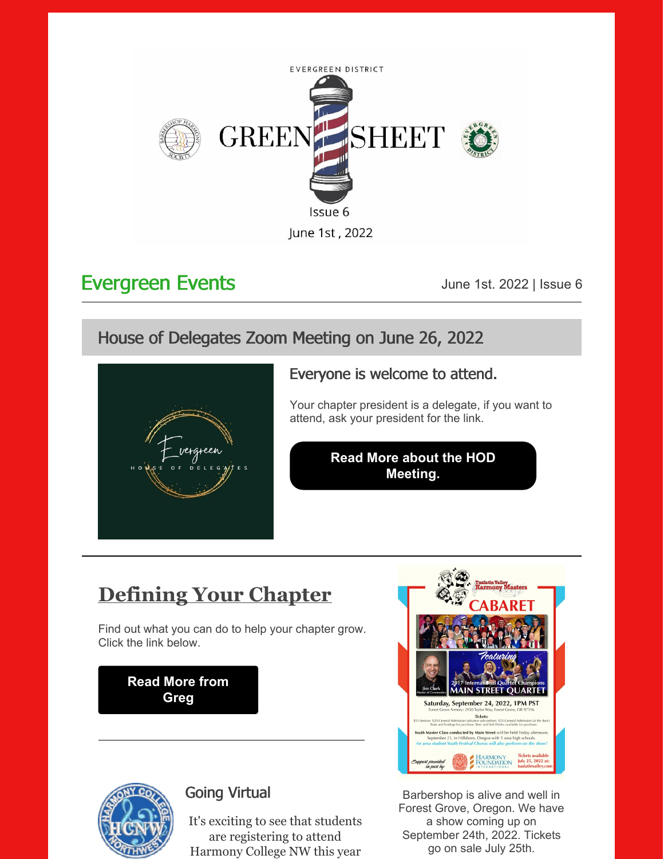

## Evergreen Events **Events** June 1st. 2022 | Issue 6

## House of Delegates Zoom Meeting on June 26, 2022



## Everyone is welcome to attend.

Your chapter president is a delegate, if you want to attend, ask your president for the link.

#### **Read More about the HOD [Meeting.](https://files.constantcontact.com/ffc30943801/f497b43b-c068-4020-923e-25ac40dbc96d.pdf?rdr=true)**

# **Defining Your Chapter**

Find out what you can do to help your chapter grow. Click the link below.

> **[Read](https://files.constantcontact.com/ffc30943801/1c3b406f-89e5-4e47-8226-5d218090eb53.pdf?rdr=true) More from Greg**



## Going Virtual

It's exciting to see that students are registering to attend Harmony College NW this year



Barbershop is alive and well in Forest Grove, Oregon. We have a show coming up on September 24th, 2022. Tickets go on sale July 25th.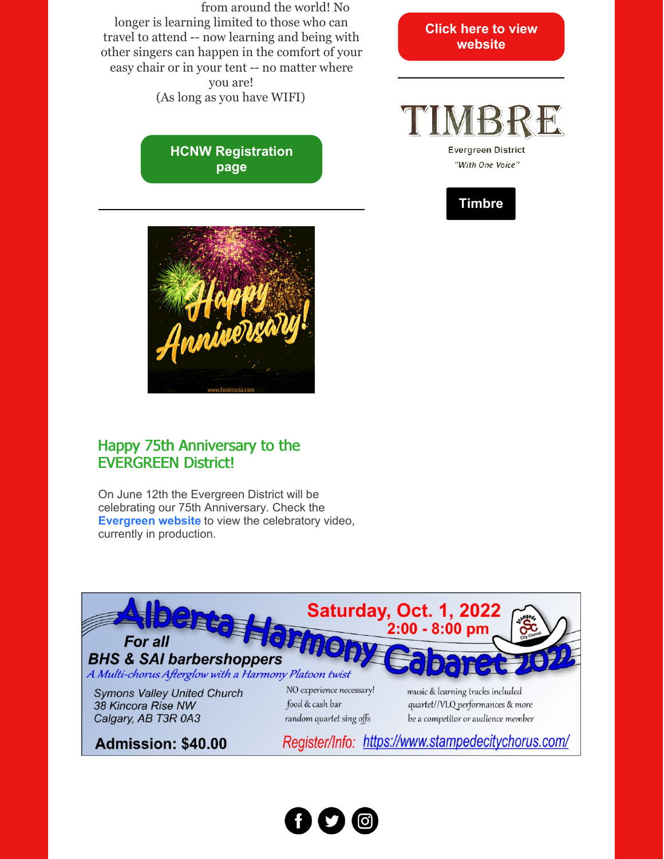from around the world! No longer is learning limited to those who can travel to attend -- now learning and being with other singers can happen in the comfort of your easy chair or in your tent -- no matter where you are! (As long as you have WIFI)

> **HCNW [Registration](https://harmonycollege.net/2022-registration/) page**

**Click here to view [website](https://www.tualatinvalley.com)**

**Evergreen District** "With One Voice"

**[Timbre](https://evgdistrict.com/wp-content/uploads/2022/06/TIMBRE-06012022-FINAL.pdf)**



### Happy 75th Anniversary to the EVERGREEN District!

On June 12th the Evergreen District will be celebrating our 75th Anniversary. Check the **[Evergreen](https://evgdistrict.com) website** to view the celebratory video, currently in production.



Admission: \$40.00

Register/Info: https://www.stampedecitychorus.com/